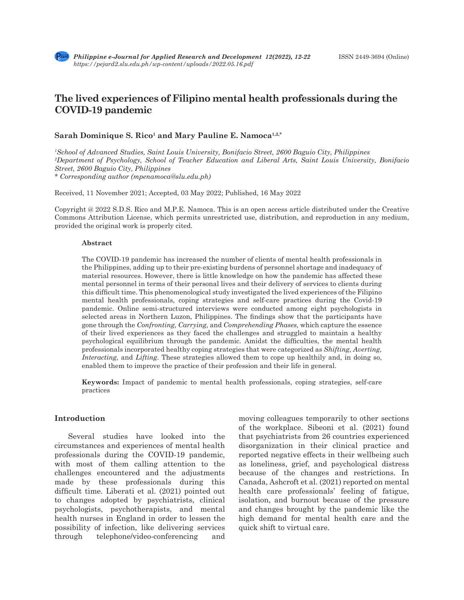# **The lived experiences of Filipino mental health professionals during the COVID-19 pandemic**

#### Sarah Dominique S. Rico<sup>1</sup> and Mary Pauline E. Namoca<sup>1,2,\*</sup>

*1 School of Advanced Studies, Saint Louis University, Bonifacio Street, 2600 Baguio City, Philippines 2 Department of Psychology, School of Teacher Education and Liberal Arts, Saint Louis University, Bonifacio Street, 2600 Baguio City, Philippines \* Corresponding author (mpenamoca@slu.edu.ph)*

Received, 11 November 2021; Accepted, 03 May 2022; Published, 16 May 2022

Copyright @ 2022 S.D.S. Rico and M.P.E. Namoca. This is an open access article distributed under the Creative Commons Attribution License, which permits unrestricted use, distribution, and reproduction in any medium, provided the original work is properly cited.

#### **Abstract**

The COVID-19 pandemic has increased the number of clients of mental health professionals in the Philippines, adding up to their pre-existing burdens of personnel shortage and inadequacy of material resources. However, there is little knowledge on how the pandemic has affected these mental personnel in terms of their personal lives and their delivery of services to clients during this difficult time. This phenomenological study investigated the lived experiences of the Filipino mental health professionals, coping strategies and self-care practices during the Covid-19 pandemic. Online semi-structured interviews were conducted among eight psychologists in selected areas in Northern Luzon, Philippines. The findings show that the participants have gone through the *Confronting, Carrying,* and *Comprehending Phases,* which capture the essence of their lived experiences as they faced the challenges and struggled to maintain a healthy psychological equilibrium through the pandemic*.* Amidst the difficulties, the mental health professionals incorporated healthy coping strategies that were categorized as *Shifting, Averting, Interacting,* and *Lifting*. These strategies allowed them to cope up healthily and, in doing so, enabled them to improve the practice of their profession and their life in general.

**Keywords:** Impact of pandemic to mental health professionals, coping strategies, self-care practices

#### **Introduction**

Several studies have looked into the circumstances and experiences of mental health professionals during the COVID-19 pandemic, with most of them calling attention to the challenges encountered and the adjustments made by these professionals during this difficult time. Liberati et al. (2021) pointed out to changes adopted by psychiatrists, clinical psychologists, psychotherapists, and mental health nurses in England in order to lessen the possibility of infection, like delivering services through telephone/video-conferencing and moving colleagues temporarily to other sections of the workplace. Sibeoni et al. (2021) found that psychiatrists from 26 countries experienced disorganization in their clinical practice and reported negative effects in their wellbeing such as loneliness, grief, and psychological distress because of the changes and restrictions. In Canada, Ashcroft et al. (2021) reported on mental health care professionals' feeling of fatigue, isolation, and burnout because of the pressure and changes brought by the pandemic like the high demand for mental health care and the quick shift to virtual care.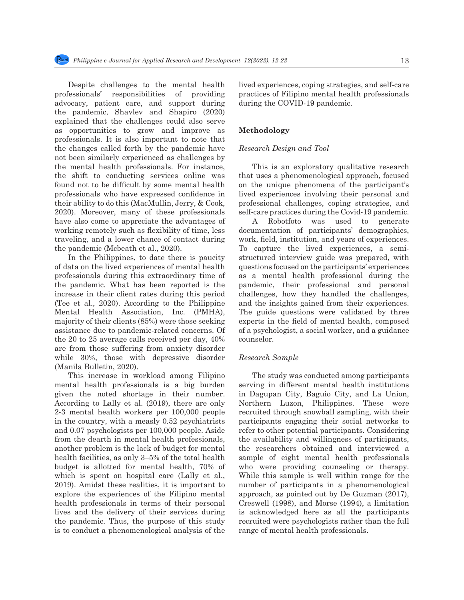Despite challenges to the mental health professionals' responsibilities of providing advocacy, patient care, and support during the pandemic, Shavlev and Shapiro (2020) explained that the challenges could also serve as opportunities to grow and improve as professionals. It is also important to note that the changes called forth by the pandemic have not been similarly experienced as challenges by the mental health professionals. For instance, the shift to conducting services online was found not to be difficult by some mental health professionals who have expressed confidence in their ability to do this (MacMullin, Jerry, & Cook, 2020). Moreover, many of these professionals have also come to appreciate the advantages of working remotely such as flexibility of time, less traveling, and a lower chance of contact during the pandemic (Mcbeath et al., 2020).

In the Philippines, to date there is paucity of data on the lived experiences of mental health professionals during this extraordinary time of the pandemic. What has been reported is the increase in their client rates during this period (Tee et al., 2020). According to the Philippine Mental Health Association, Inc. (PMHA), majority of their clients (85%) were those seeking assistance due to pandemic-related concerns. Of the 20 to 25 average calls received per day, 40% are from those suffering from anxiety disorder while 30%, those with depressive disorder (Manila Bulletin, 2020).

This increase in workload among Filipino mental health professionals is a big burden given the noted shortage in their number. According to Lally et al. (2019), there are only 2-3 mental health workers per 100,000 people in the country, with a measly 0.52 psychiatrists and 0.07 psychologists per 100,000 people. Aside from the dearth in mental health professionals, another problem is the lack of budget for mental health facilities, as only 3–5% of the total health budget is allotted for mental health, 70% of which is spent on hospital care (Lally et al., 2019). Amidst these realities, it is important to explore the experiences of the Filipino mental health professionals in terms of their personal lives and the delivery of their services during the pandemic. Thus, the purpose of this study is to conduct a phenomenological analysis of the lived experiences, coping strategies, and self-care practices of Filipino mental health professionals during the COVID-19 pandemic.

#### **Methodology**

# *Research Design and Tool*

This is an exploratory qualitative research that uses a phenomenological approach, focused on the unique phenomena of the participant's lived experiences involving their personal and professional challenges, coping strategies, and self-care practices during the Covid-19 pandemic.

A Robotfoto was used to generate documentation of participants' demographics, work, field, institution, and years of experiences. To capture the lived experiences, a semistructured interview guide was prepared, with questions focused on the participants' experiences as a mental health professional during the pandemic, their professional and personal challenges, how they handled the challenges, and the insights gained from their experiences. The guide questions were validated by three experts in the field of mental health, composed of a psychologist, a social worker, and a guidance counselor.

#### *Research Sample*

The study was conducted among participants serving in different mental health institutions in Dagupan City, Baguio City, and La Union, Northern Luzon, Philippines. These were recruited through snowball sampling, with their participants engaging their social networks to refer to other potential participants. Considering the availability and willingness of participants, the researchers obtained and interviewed a sample of eight mental health professionals who were providing counseling or therapy. While this sample is well within range for the number of participants in a phenomenological approach, as pointed out by De Guzman (2017), Creswell (1998), and Morse (1994), a limitation is acknowledged here as all the participants recruited were psychologists rather than the full range of mental health professionals.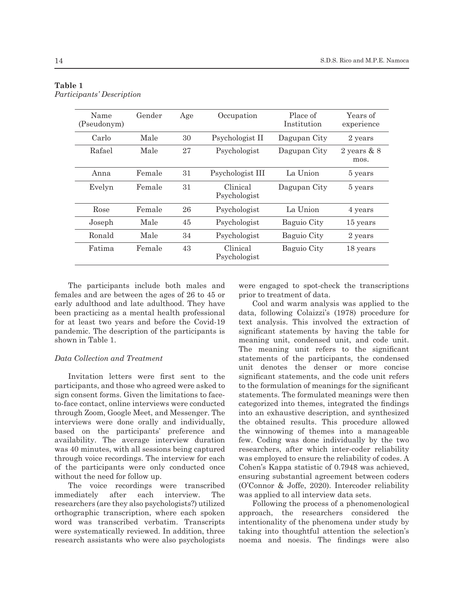| Name<br>(Pseudonym) | Gender | Age | Occupation               | Place of<br>Institution | Years of<br>experience |
|---------------------|--------|-----|--------------------------|-------------------------|------------------------|
| Carlo               | Male   | 30  | Psychologist II          | Dagupan City            | 2 years                |
| Rafael              | Male   | 27  | Psychologist             | Dagupan City            | 2 years $& 8$<br>mos.  |
| Anna                | Female | 31  | Psychologist III         | La Union                | 5 years                |
| Evelyn              | Female | 31  | Clinical<br>Psychologist | Dagupan City            | 5 years                |
| Rose                | Female | 26  | Psychologist             | La Union                | 4 years                |
| Joseph              | Male   | 45  | Psychologist             | Baguio City             | 15 years               |
| Ronald              | Male   | 34  | Psychologist             | Baguio City             | 2 years                |
| Fatima              | Female | 43  | Clinical<br>Psychologist | Baguio City             | 18 years               |

# **Table 1** *Participants' Description*

The participants include both males and females and are between the ages of 26 to 45 or early adulthood and late adulthood. They have been practicing as a mental health professional for at least two years and before the Covid-19 pandemic. The description of the participants is shown in Table 1.

## *Data Collection and Treatment*

Invitation letters were first sent to the participants, and those who agreed were asked to sign consent forms. Given the limitations to faceto-face contact, online interviews were conducted through Zoom, Google Meet, and Messenger. The interviews were done orally and individually, based on the participants' preference and availability. The average interview duration was 40 minutes, with all sessions being captured through voice recordings. The interview for each of the participants were only conducted once without the need for follow up.

The voice recordings were transcribed immediately after each interview. The researchers (are they also psychologists?) utilized orthographic transcription, where each spoken word was transcribed verbatim. Transcripts were systematically reviewed. In addition, three research assistants who were also psychologists were engaged to spot-check the transcriptions prior to treatment of data.

Cool and warm analysis was applied to the data, following Colaizzi's (1978) procedure for text analysis. This involved the extraction of significant statements by having the table for meaning unit, condensed unit, and code unit. The meaning unit refers to the significant statements of the participants, the condensed unit denotes the denser or more concise significant statements, and the code unit refers to the formulation of meanings for the significant statements. The formulated meanings were then categorized into themes, integrated the findings into an exhaustive description, and synthesized the obtained results. This procedure allowed the winnowing of themes into a manageable few. Coding was done individually by the two researchers, after which inter-coder reliability was employed to ensure the reliability of codes. A Cohen's Kappa statistic of 0.7948 was achieved, ensuring substantial agreement between coders (O'Connor & Joffe, 2020). Intercoder reliability was applied to all interview data sets.

Following the process of a phenomenological approach, the researchers considered the intentionality of the phenomena under study by taking into thoughtful attention the selection's noema and noesis. The findings were also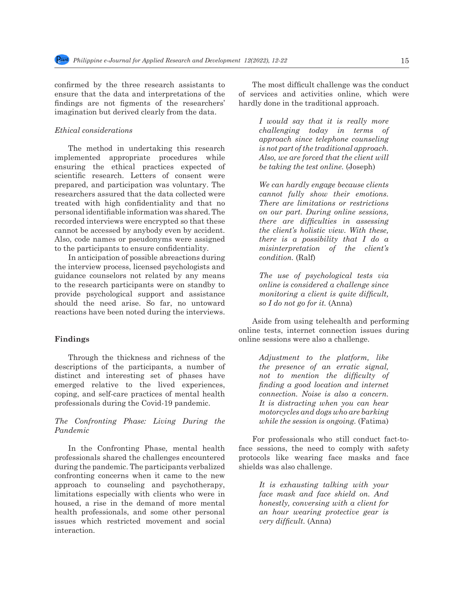confirmed by the three research assistants to ensure that the data and interpretations of the findings are not figments of the researchers' imagination but derived clearly from the data.

#### *Ethical considerations*

The method in undertaking this research implemented appropriate procedures while ensuring the ethical practices expected of scientific research. Letters of consent were prepared, and participation was voluntary. The researchers assured that the data collected were treated with high confidentiality and that no personal identifiable information was shared. The recorded interviews were encrypted so that these cannot be accessed by anybody even by accident. Also, code names or pseudonyms were assigned to the participants to ensure confidentiality.

In anticipation of possible abreactions during the interview process, licensed psychologists and guidance counselors not related by any means to the research participants were on standby to provide psychological support and assistance should the need arise. So far, no untoward reactions have been noted during the interviews.

#### **Findings**

Through the thickness and richness of the descriptions of the participants, a number of distinct and interesting set of phases have emerged relative to the lived experiences, coping, and self-care practices of mental health professionals during the Covid-19 pandemic.

# *The Confronting Phase: Living During the Pandemic*

In the Confronting Phase*,* mental health professionals shared the challenges encountered during the pandemic. The participants verbalized confronting concerns when it came to the new approach to counseling and psychotherapy, limitations especially with clients who were in housed, a rise in the demand of more mental health professionals, and some other personal issues which restricted movement and social interaction.

The most difficult challenge was the conduct of services and activities online, which were hardly done in the traditional approach.

> *I would say that it is really more challenging today in terms of approach since telephone counseling is not part of the traditional approach. Also, we are forced that the client will be taking the test online.* (Joseph)

> *We can hardly engage because clients cannot fully show their emotions. There are limitations or restrictions on our part. During online sessions, there are difficulties in assessing the client's holistic view. With these, there is a possibility that I do a misinterpretation of the client's condition.* (Ralf)

> *The use of psychological tests via online is considered a challenge since monitoring a client is quite difficult, so I do not go for it.* (Anna)

Aside from using telehealth and performing online tests, internet connection issues during online sessions were also a challenge.

> *Adjustment to the platform, like the presence of an erratic signal, not to mention the difficulty of finding a good location and internet connection. Noise is also a concern. It is distracting when you can hear motorcycles and dogs who are barking while the session is ongoing.* (Fatima)

For professionals who still conduct fact-toface sessions, the need to comply with safety protocols like wearing face masks and face shields was also challenge.

> *It is exhausting talking with your face mask and face shield on. And honestly, conversing with a client for an hour wearing protective gear is very difficult.* (Anna)

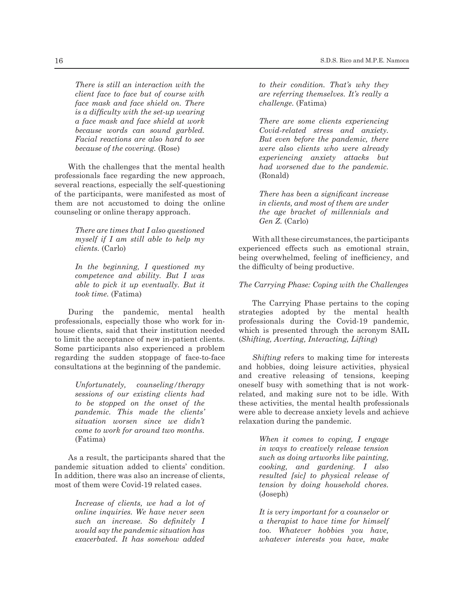*There is still an interaction with the client face to face but of course with face mask and face shield on. There is a difficulty with the set-up wearing a face mask and face shield at work because words can sound garbled. Facial reactions are also hard to see because of the covering.* (Rose)

With the challenges that the mental health professionals face regarding the new approach, several reactions, especially the self-questioning of the participants, were manifested as most of them are not accustomed to doing the online counseling or online therapy approach.

> *There are times that I also questioned myself if I am still able to help my clients.* (Carlo)

> *In the beginning, I questioned my competence and ability. But I was able to pick it up eventually. But it took time.* (Fatima)

During the pandemic, mental health professionals, especially those who work for inhouse clients, said that their institution needed to limit the acceptance of new in-patient clients. Some participants also experienced a problem regarding the sudden stoppage of face-to-face consultations at the beginning of the pandemic.

> *Unfortunately, counseling/therapy sessions of our existing clients had to be stopped on the onset of the pandemic. This made the clients' situation worsen since we didn't come to work for around two months.* (Fatima)

As a result, the participants shared that the pandemic situation added to clients' condition. In addition, there was also an increase of clients, most of them were Covid-19 related cases.

> *Increase of clients, we had a lot of online inquiries. We have never seen such an increase. So definitely I would say the pandemic situation has exacerbated. It has somehow added*

*to their condition. That's why they are referring themselves. It's really a challenge.* (Fatima)

*There are some clients experiencing Covid-related stress and anxiety. But even before the pandemic, there were also clients who were already experiencing anxiety attacks but had worsened due to the pandemic.* (Ronald)

*There has been a significant increase in clients, and most of them are under the age bracket of millennials and Gen Z.* (Carlo)

With all these circumstances, the participants experienced effects such as emotional strain, being overwhelmed, feeling of inefficiency, and the difficulty of being productive.

#### *The Carrying Phase: Coping with the Challenges*

The Carrying Phase pertains to the coping strategies adopted by the mental health professionals during the Covid-19 pandemic, which is presented through the acronym SAIL (*Shifting, Averting, Interacting, Lifting*)

*Shifting* refers to making time for interests and hobbies, doing leisure activities, physical and creative releasing of tensions, keeping oneself busy with something that is not workrelated, and making sure not to be idle. With these activities, the mental health professionals were able to decrease anxiety levels and achieve relaxation during the pandemic.

> *When it comes to coping, I engage in ways to creatively release tension such as doing artworks like painting, cooking, and gardening. I also resulted [sic] to physical release of tension by doing household chores.* (Joseph)

> *It is very important for a counselor or a therapist to have time for himself too. Whatever hobbies you have, whatever interests you have, make*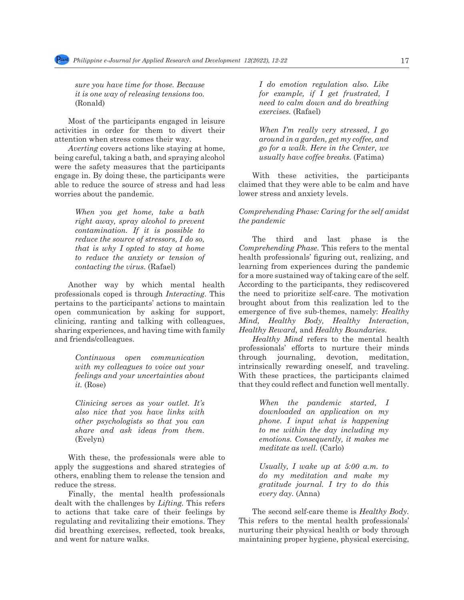*sure you have time for those. Because it is one way of releasing tensions too.* (Ronald)

Most of the participants engaged in leisure activities in order for them to divert their attention when stress comes their way.

*Averting* covers actions like staying at home, being careful, taking a bath, and spraying alcohol were the safety measures that the participants engage in. By doing these, the participants were able to reduce the source of stress and had less worries about the pandemic.

> *When you get home, take a bath right away, spray alcohol to prevent contamination. If it is possible to reduce the source of stressors, I do so, that is why I opted to stay at home to reduce the anxiety or tension of contacting the virus.* (Rafael)

Another way by which mental health professionals coped is through *Interacting*. This pertains to the participants' actions to maintain open communication by asking for support, clinicing, ranting and talking with colleagues, sharing experiences, and having time with family and friends/colleagues.

> *Continuous open communication with my colleagues to voice out your feelings and your uncertainties about it.* (Rose)

> *Clinicing serves as your outlet. It's also nice that you have links with other psychologists so that you can share and ask ideas from them.* (Evelyn)

With these, the professionals were able to apply the suggestions and shared strategies of others, enabling them to release the tension and reduce the stress.

Finally, the mental health professionals dealt with the challenges by *Lifting.* This refers to actions that take care of their feelings by regulating and revitalizing their emotions. They did breathing exercises, reflected, took breaks, and went for nature walks.

*I do emotion regulation also. Like for example, if I get frustrated, I need to calm down and do breathing exercises.* (Rafael)

*When I'm really very stressed, I go around in a garden, get my coffee, and go for a walk. Here in the Center, we usually have coffee breaks.* (Fatima)

With these activities, the participants claimed that they were able to be calm and have lower stress and anxiety levels.

# *Comprehending Phase: Caring for the self amidst the pandemic*

The third and last phase is the *Comprehending Phase.* This refers to the mental health professionals' figuring out, realizing, and learning from experiences during the pandemic for a more sustained way of taking care of the self. According to the participants, they rediscovered the need to prioritize self-care. The motivation brought about from this realization led to the emergence of five sub-themes, namely: *Healthy Mind, Healthy Body, Healthy Interaction, Healthy Reward,* and *Healthy Boundaries.* 

*Healthy Mind* refers to the mental health professionals' efforts to nurture their minds through journaling, devotion, meditation, intrinsically rewarding oneself, and traveling. With these practices, the participants claimed that they could reflect and function well mentally.

> *When the pandemic started, I downloaded an application on my phone. I input what is happening to me within the day including my emotions. Consequently, it makes me meditate as well.* (Carlo)

> *Usually, I wake up at 5:00 a.m. to do my meditation and make my gratitude journal. I try to do this every day.* (Anna)

The second self-care theme is *Healthy Body.*  This refers to the mental health professionals' nurturing their physical health or body through maintaining proper hygiene, physical exercising,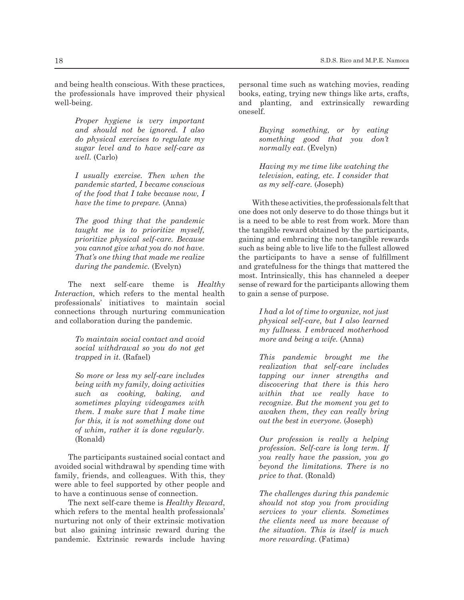and being health conscious. With these practices, the professionals have improved their physical well-being.

> *Proper hygiene is very important and should not be ignored. I also do physical exercises to regulate my sugar level and to have self-care as well.* (Carlo)

> *I usually exercise. Then when the pandemic started, I became conscious of the food that I take because now, I have the time to prepare.* (Anna)

> *The good thing that the pandemic taught me is to prioritize myself, prioritize physical self-care. Because you cannot give what you do not have. That's one thing that made me realize during the pandemic.* (Evelyn)

The next self-care theme is *Healthy Interaction,* which refers to the mental health professionals' initiatives to maintain social connections through nurturing communication and collaboration during the pandemic.

> *To maintain social contact and avoid social withdrawal so you do not get trapped in it.* (Rafael)

> *So more or less my self-care includes being with my family, doing activities such as cooking, baking, and sometimes playing videogames with them. I make sure that I make time for this, it is not something done out of whim, rather it is done regularly.* (Ronald)

The participants sustained social contact and avoided social withdrawal by spending time with family, friends, and colleagues. With this, they were able to feel supported by other people and to have a continuous sense of connection.

The next self-care theme is *Healthy Reward*, which refers to the mental health professionals' nurturing not only of their extrinsic motivation but also gaining intrinsic reward during the pandemic. Extrinsic rewards include having personal time such as watching movies, reading books, eating, trying new things like arts, crafts, and planting, and extrinsically rewarding oneself.

> *Buying something, or by eating something good that you don't normally eat*. (Evelyn)

> *Having my me time like watching the television, eating, etc. I consider that as my self-care.* (Joseph)

With these activities, the professionals felt that one does not only deserve to do those things but it is a need to be able to rest from work. More than the tangible reward obtained by the participants, gaining and embracing the non-tangible rewards such as being able to live life to the fullest allowed the participants to have a sense of fulfillment and gratefulness for the things that mattered the most. Intrinsically, this has channeled a deeper sense of reward for the participants allowing them to gain a sense of purpose.

> *I had a lot of time to organize, not just physical self-care, but I also learned my fullness. I embraced motherhood more and being a wife.* (Anna)

> *This pandemic brought me the realization that self-care includes tapping our inner strengths and discovering that there is this hero within that we really have to recognize. But the moment you get to awaken them, they can really bring out the best in everyone.* (Joseph)

> *Our profession is really a helping profession. Self-care is long term. If you really have the passion, you go beyond the limitations. There is no price to that.* (Ronald)

> *The challenges during this pandemic should not stop you from providing services to your clients. Sometimes the clients need us more because of the situation. This is itself is much more rewarding.* (Fatima)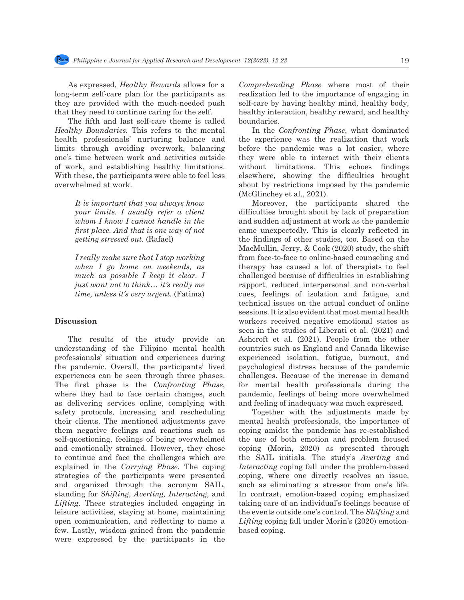As expressed, *Healthy Rewards* allows for a long-term self-care plan for the participants as they are provided with the much-needed push that they need to continue caring for the self.

The fifth and last self-care theme is called *Healthy Boundaries.* This refers to the mental health professionals' nurturing balance and limits through avoiding overwork, balancing one's time between work and activities outside of work, and establishing healthy limitations. With these, the participants were able to feel less overwhelmed at work.

> *It is important that you always know your limits. I usually refer a client whom I know I cannot handle in the first place. And that is one way of not getting stressed out.* (Rafael)

> *I really make sure that I stop working when I go home on weekends, as much as possible I keep it clear. I just want not to think… it's really me time, unless it's very urgent.* (Fatima)

#### **Discussion**

The results of the study provide an understanding of the Filipino mental health professionals' situation and experiences during the pandemic. Overall, the participants' lived experiences can be seen through three phases. The first phase is the *Confronting Phase*, where they had to face certain changes, such as delivering services online, complying with safety protocols, increasing and rescheduling their clients. The mentioned adjustments gave them negative feelings and reactions such as self-questioning, feelings of being overwhelmed and emotionally strained. However, they chose to continue and face the challenges which are explained in the *Carrying Phase.* The coping strategies of the participants were presented and organized through the acronym SAIL, standing for *Shifting, Averting, Interacting,* and *Lifting*. These strategies included engaging in leisure activities, staying at home, maintaining open communication, and reflecting to name a few. Lastly, wisdom gained from the pandemic were expressed by the participants in the *Comprehending Phase* where most of their realization led to the importance of engaging in self-care by having healthy mind, healthy body, healthy interaction, healthy reward, and healthy boundaries.

In the *Confronting Phase*, what dominated the experience was the realization that work before the pandemic was a lot easier, where they were able to interact with their clients without limitations. This echoes findings elsewhere, showing the difficulties brought about by restrictions imposed by the pandemic (McGlinchey et al., 2021).

Moreover, the participants shared the difficulties brought about by lack of preparation and sudden adjustment at work as the pandemic came unexpectedly. This is clearly reflected in the findings of other studies, too. Based on the MacMullin, Jerry, & Cook (2020) study, the shift from face-to-face to online-based counseling and therapy has caused a lot of therapists to feel challenged because of difficulties in establishing rapport, reduced interpersonal and non-verbal cues, feelings of isolation and fatigue, and technical issues on the actual conduct of online sessions. It is also evident that most mental health workers received negative emotional states as seen in the studies of Liberati et al. (2021) and Ashcroft et al. (2021). People from the other countries such as England and Canada likewise experienced isolation, fatigue, burnout, and psychological distress because of the pandemic challenges. Because of the increase in demand for mental health professionals during the pandemic, feelings of being more overwhelmed and feeling of inadequacy was much expressed.

Together with the adjustments made by mental health professionals, the importance of coping amidst the pandemic has re-established the use of both emotion and problem focused coping (Morin, 2020) as presented through the SAIL initials*.* The study's *Averting* and *Interacting* coping fall under the problem-based coping, where one directly resolves an issue, such as eliminating a stressor from one's life. In contrast, emotion-based coping emphasized taking care of an individual's feelings because of the events outside one's control. The *Shifting* and *Lifting* coping fall under Morin's (2020) emotionbased coping.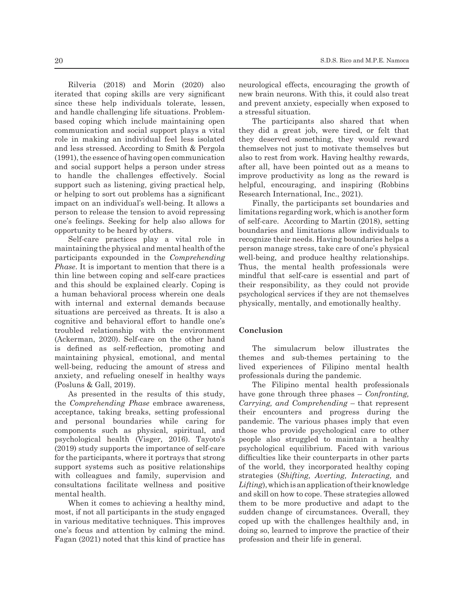Rilveria (2018) and Morin (2020) also iterated that coping skills are very significant since these help individuals tolerate, lessen, and handle challenging life situations. Problembased coping which include maintaining open communication and social support plays a vital role in making an individual feel less isolated and less stressed. According to Smith & Pergola (1991), the essence of having open communication and social support helps a person under stress to handle the challenges effectively. Social support such as listening, giving practical help, or helping to sort out problems has a significant impact on an individual's well-being. It allows a person to release the tension to avoid repressing one's feelings. Seeking for help also allows for opportunity to be heard by others.

Self-care practices play a vital role in maintaining the physical and mental health of the participants expounded in the *Comprehending Phase*. It is important to mention that there is a thin line between coping and self-care practices and this should be explained clearly. Coping is a human behavioral process wherein one deals with internal and external demands because situations are perceived as threats. It is also a cognitive and behavioral effort to handle one's troubled relationship with the environment (Ackerman, 2020). Self-care on the other hand is defined as self-reflection, promoting and maintaining physical, emotional, and mental well-being, reducing the amount of stress and anxiety, and refueling oneself in healthy ways (Posluns & Gall, 2019).

As presented in the results of this study, the *Comprehending Phase* embrace awareness, acceptance, taking breaks, setting professional and personal boundaries while caring for components such as physical, spiritual, and psychological health (Visger, 2016). Tayoto's (2019) study supports the importance of self-care for the participants, where it portrays that strong support systems such as positive relationships with colleagues and family, supervision and consultations facilitate wellness and positive mental health.

When it comes to achieving a healthy mind, most, if not all participants in the study engaged in various meditative techniques. This improves one's focus and attention by calming the mind. Fagan (2021) noted that this kind of practice has neurological effects, encouraging the growth of new brain neurons. With this, it could also treat and prevent anxiety, especially when exposed to a stressful situation.

The participants also shared that when they did a great job, were tired, or felt that they deserved something, they would reward themselves not just to motivate themselves but also to rest from work. Having healthy rewards, after all, have been pointed out as a means to improve productivity as long as the reward is helpful, encouraging, and inspiring (Robbins Research International, Inc., 2021).

Finally, the participants set boundaries and limitations regarding work, which is another form of self-care. According to Martin (2018), setting boundaries and limitations allow individuals to recognize their needs. Having boundaries helps a person manage stress, take care of one's physical well-being, and produce healthy relationships. Thus, the mental health professionals were mindful that self-care is essential and part of their responsibility, as they could not provide psychological services if they are not themselves physically, mentally, and emotionally healthy.

#### **Conclusion**

The simulacrum below illustrates the themes and sub-themes pertaining to the lived experiences of Filipino mental health professionals during the pandemic.

The Filipino mental health professionals have gone through three phases – *Confronting, Carrying, and Comprehending* – that represent their encounters and progress during the pandemic. The various phases imply that even those who provide psychological care to other people also struggled to maintain a healthy psychological equilibrium. Faced with various difficulties like their counterparts in other parts of the world, they incorporated healthy coping strategies (*Shifting, Averting, Interacting,* and *Lifting*), which is an application of their knowledge and skill on how to cope. These strategies allowed them to be more productive and adapt to the sudden change of circumstances. Overall, they coped up with the challenges healthily and, in doing so, learned to improve the practice of their profession and their life in general.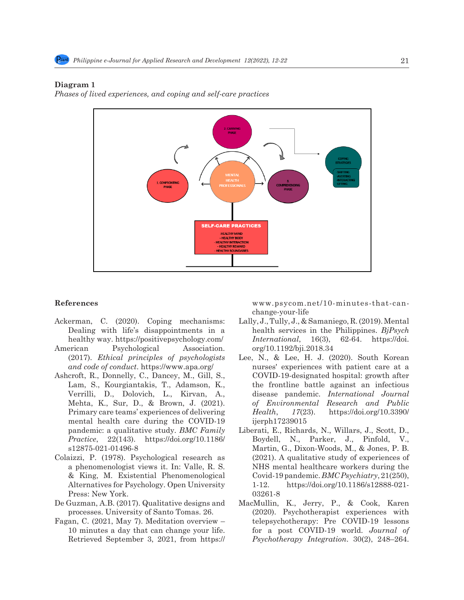# **Diagram 1** 467 Diagram 1:

*Phases of lived experiences, and coping and self-care practices* 468 *Phases of lived experiences, and coping and self-care practices*



#### **References**

- Dealing with life's disappointments in a health services in the Philippines. *BjPsych* Dealing with life's disappointments in a health services in the Philippines. *BjPsych*
- American Psychological Association. (2017). *Ethical principles of psychologists and code of conduct*. https://www.apa.org/ American Psychological Association. org/10.1192/bji.2018.34<br>
(2015), United and *Lifting* of the Life and Skill on Hermitian of the top of the skill of the top of the skill on the skill on the skill on the skill on the ski
	- Lam, S., Kourgiantakis, T., Adamson, K., Verrilli, D., Dolovich, L., Kirvan, A., Mehta, K., Sur, D., & Brown, J. (2021). Primary care teams' experiences of delivering mental health care during the COVID-19 pandemic: a qualitative study. *BMC Family Practice*, 22(143). https://doi.org/10.1186/ s12875-021-01496-8
	- Colaizzi, P. (1978). Psychological research as a phenomenologist views it. In: Valle, R. S. & King, M. Existential Phenomenological Alternatives for Psychology. Open University Press: New York.
	- De Guzman, A.B. (2017). Qualitative designs and processes. University of Santo Tomas. 26.
	- Fagan, C. (2021, May 7). Meditation overview 10 minutes a day that can change your life. Retrieved September 3, 2021, from https://

References www.psycom.net/10-minutes-that-canchange-your-life

- change-your-ine<br>Ackerman, C. (2020). Coping mechanisms: Lally, J., Tully, J., & Samaniego, R. (2019). Mental healthy way. https://positivepsychology.com/ *International*, 16(3), 62-64. https://doi. Lally, J., Tully, J., & Samaniego, R. (2019). Mental *International*, 16(3), 62-64. https://doi.
- Ashcroft, R., Donnelly, C., Dancey, M., Gill, S., COVID-19-designated hospital: growth after Lee, N., & Lee, H. J. (2020). South Korean (2017). *Ethical principles of psychologists* Lee, N.,  $\alpha$  Lee, II. J. (2020). South Korean and code of conduct. https://www.apa.org/ COVID-19-designated hospital: growth after the frontline battle against an infectious disease pandemic. *International Journal of Environmental Research and Public Health*, *17*(23). https://doi.org/10.3390/ ijerph17239015
	- Liberati, E., Richards, N., Willars, J., Scott, D., Boydell, N., Parker, J., Pinfold, V., Martin, G., Dixon-Woods, M., & Jones, P. B. (2021). A qualitative study of experiences of NHS mental healthcare workers during the Covid-19 pandemic. *BMC Psychiatry*, 21(250), 1-12. https://doi.org/10.1186/s12888-021- 03261-8
	- MacMullin, K., Jerry, P., & Cook, Karen (2020). Psychotherapist experiences with telepsychotherapy: Pre COVID-19 lessons for a post COVID-19 world. *Journal of Psychotherapy Integration*. 30(2), 248–264.